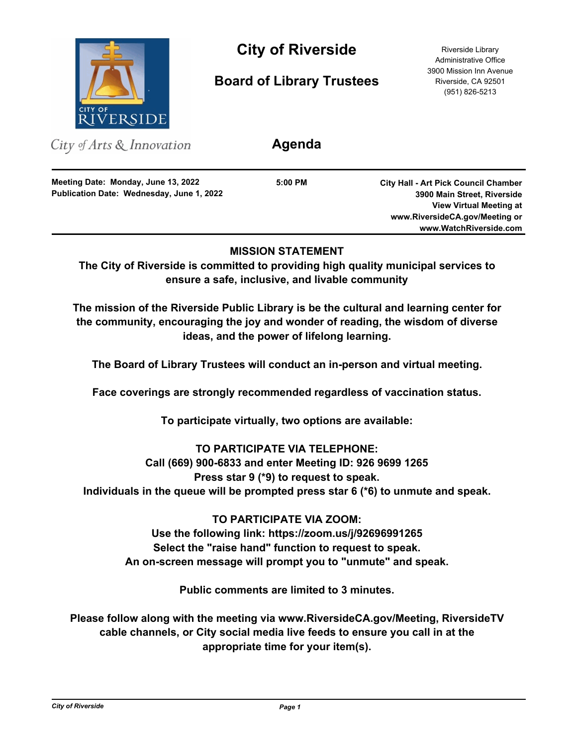

# **City of Riverside** Riverside Library

**Board of Library Trustees**

Administrative Office 3900 Mission Inn Avenue Riverside, CA 92501 (951) 826-5213

City of Arts & Innovation

**Publication Date: Wednesday, June 1, 2022 Meeting Date: Monday, June 13, 2022**

**5:00 PM**

**Agenda**

**City Hall - Art Pick Council Chamber 3900 Main Street, Riverside View Virtual Meeting at www.RiversideCA.gov/Meeting or www.WatchRiverside.com**

## **MISSION STATEMENT**

**The City of Riverside is committed to providing high quality municipal services to ensure a safe, inclusive, and livable community**

**The mission of the Riverside Public Library is be the cultural and learning center for the community, encouraging the joy and wonder of reading, the wisdom of diverse ideas, and the power of lifelong learning.**

**The Board of Library Trustees will conduct an in-person and virtual meeting.**

**Face coverings are strongly recommended regardless of vaccination status.**

**To participate virtually, two options are available:** 

## **TO PARTICIPATE VIA TELEPHONE:**

**Call (669) 900-6833 and enter Meeting ID: 926 9699 1265** 

**Press star 9 (\*9) to request to speak.** 

**Individuals in the queue will be prompted press star 6 (\*6) to unmute and speak.**

**TO PARTICIPATE VIA ZOOM: Use the following link: https://zoom.us/j/92696991265 Select the "raise hand" function to request to speak. An on-screen message will prompt you to "unmute" and speak.**

**Public comments are limited to 3 minutes.**

**Please follow along with the meeting via www.RiversideCA.gov/Meeting, RiversideTV cable channels, or City social media live feeds to ensure you call in at the appropriate time for your item(s).**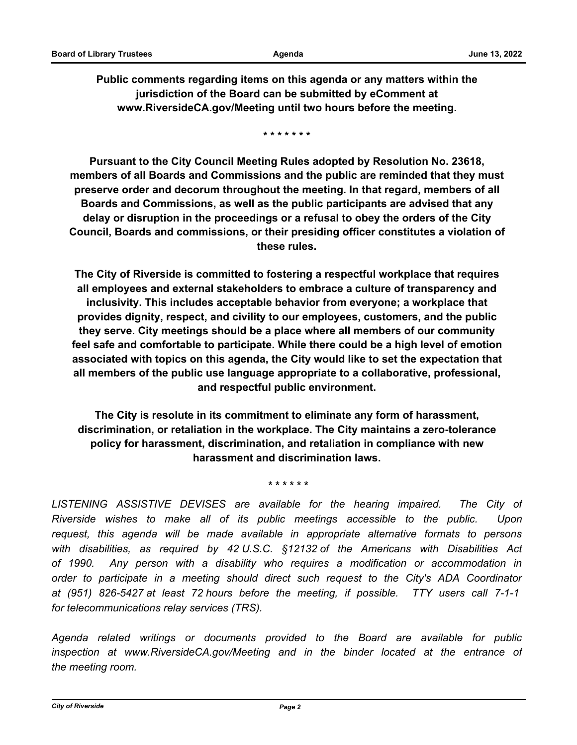**Public comments regarding items on this agenda or any matters within the jurisdiction of the Board can be submitted by eComment at www.RiversideCA.gov/Meeting until two hours before the meeting.**

**\* \* \* \* \* \* \***

**Pursuant to the City Council Meeting Rules adopted by Resolution No. 23618, members of all Boards and Commissions and the public are reminded that they must preserve order and decorum throughout the meeting. In that regard, members of all Boards and Commissions, as well as the public participants are advised that any delay or disruption in the proceedings or a refusal to obey the orders of the City Council, Boards and commissions, or their presiding officer constitutes a violation of these rules.**

**The City of Riverside is committed to fostering a respectful workplace that requires all employees and external stakeholders to embrace a culture of transparency and inclusivity. This includes acceptable behavior from everyone; a workplace that provides dignity, respect, and civility to our employees, customers, and the public they serve. City meetings should be a place where all members of our community feel safe and comfortable to participate. While there could be a high level of emotion associated with topics on this agenda, the City would like to set the expectation that all members of the public use language appropriate to a collaborative, professional, and respectful public environment.**

**The City is resolute in its commitment to eliminate any form of harassment, discrimination, or retaliation in the workplace. The City maintains a zero-tolerance policy for harassment, discrimination, and retaliation in compliance with new harassment and discrimination laws.**

 **\* \* \* \* \* \***

LISTENING ASSISTIVE DEVISES are available for the hearing impaired. The City of *Riverside wishes to make all of its public meetings accessible to the public. Upon request, this agenda will be made available in appropriate alternative formats to persons with disabilities, as required by 42 U.S.C. §12132 of the Americans with Disabilities Act of 1990. Any person with a disability who requires a modification or accommodation in order to participate in a meeting should direct such request to the City's ADA Coordinator at (951) 826-5427 at least 72 hours before the meeting, if possible. TTY users call 7-1-1 for telecommunications relay services (TRS).*

*Agenda related writings or documents provided to the Board are available for public inspection at www.RiversideCA.gov/Meeting and in the binder located at the entrance of the meeting room.*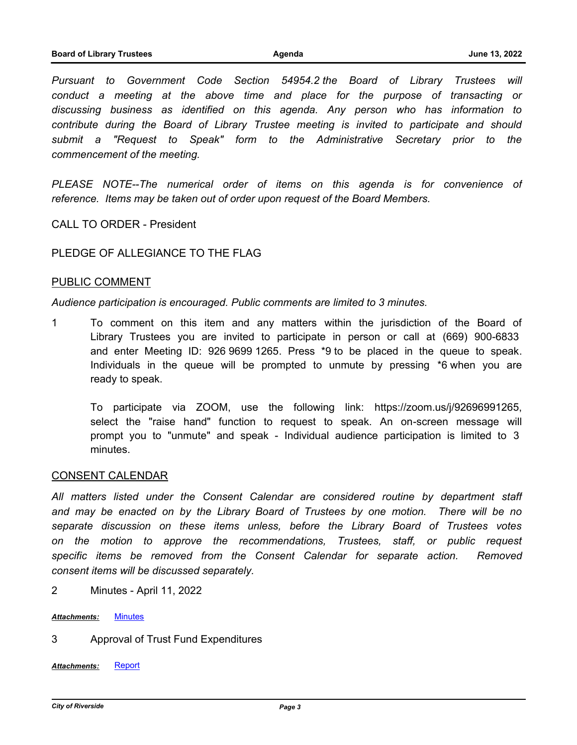*Pursuant to Government Code Section 54954.2 the Board of Library Trustees will conduct a meeting at the above time and place for the purpose of transacting or discussing business as identified on this agenda. Any person who has information to contribute during the Board of Library Trustee meeting is invited to participate and should submit a "Request to Speak" form to the Administrative Secretary prior to the commencement of the meeting.* 

PLEASE NOTE--The numerical order of items on this agenda is for convenience of *reference. Items may be taken out of order upon request of the Board Members.*

CALL TO ORDER - President

### PLEDGE OF ALLEGIANCE TO THE FLAG

#### PUBLIC COMMENT

*Audience participation is encouraged. Public comments are limited to 3 minutes.*

1 To comment on this item and any matters within the jurisdiction of the Board of Library Trustees you are invited to participate in person or call at (669) 900-6833 and enter Meeting ID: 926 9699 1265. Press \*9 to be placed in the queue to speak. Individuals in the queue will be prompted to unmute by pressing \*6 when you are ready to speak.

To participate via ZOOM, use the following link: https://zoom.us/j/92696991265, select the "raise hand" function to request to speak. An on-screen message will prompt you to "unmute" and speak - Individual audience participation is limited to 3 minutes.

#### CONSENT CALENDAR

*All matters listed under the Consent Calendar are considered routine by department staff and may be enacted on by the Library Board of Trustees by one motion. There will be no separate discussion on these items unless, before the Library Board of Trustees votes on the motion to approve the recommendations, Trustees, staff, or public request*  specific items be removed from the Consent Calendar for separate action. Removed *consent items will be discussed separately.*

- 2 Minutes April 11, 2022
- *Attachments:* [Minutes](http://riversideca.legistar.com/gateway.aspx?M=F&ID=7af0f384-3cb2-43a6-b362-d0bc07fd8aa6.docx)
- 3 Approval of Trust Fund Expenditures

*Attachments:* [Report](http://riversideca.legistar.com/gateway.aspx?M=F&ID=e6e1be7e-ecbe-4214-945b-238874d0fde1.docx)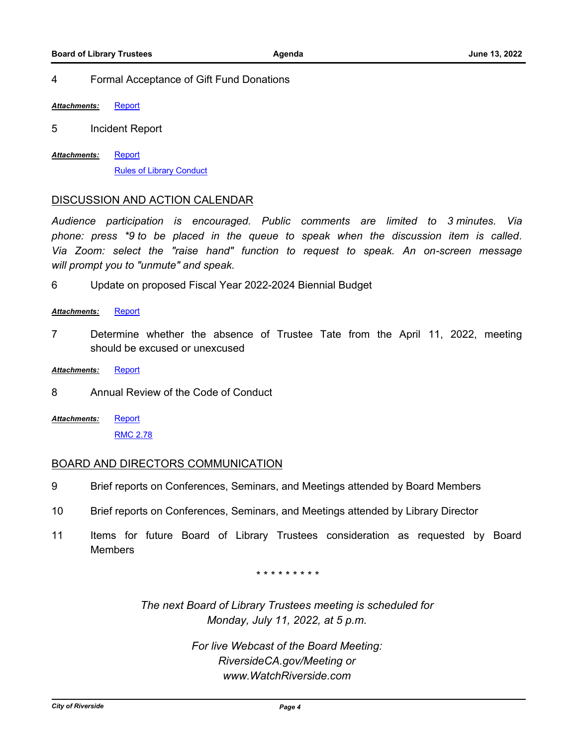#### 4 Formal Acceptance of Gift Fund Donations

*Attachments:* [Report](http://riversideca.legistar.com/gateway.aspx?M=F&ID=65855734-f33b-4973-8ee6-0e99dc4380d6.docx)

5 Incident Report

**[Report](http://riversideca.legistar.com/gateway.aspx?M=F&ID=a8511632-bbb5-40a6-9e93-613e357fd177.docx)** [Rules of Library Conduct](http://riversideca.legistar.com/gateway.aspx?M=F&ID=538ec449-2a6e-4452-b4a8-29de2ecd0be1.pdf) *Attachments:*

#### DISCUSSION AND ACTION CALENDAR

*Audience participation is encouraged. Public comments are limited to 3 minutes. Via phone: press \*9 to be placed in the queue to speak when the discussion item is called. Via Zoom: select the "raise hand" function to request to speak. An on-screen message will prompt you to "unmute" and speak.*

6 Update on proposed Fiscal Year 2022-2024 Biennial Budget

#### *Attachments:* [Report](http://riversideca.legistar.com/gateway.aspx?M=F&ID=1338e351-00a5-4e5e-9b86-2db4a6425c97.docx)

- 7 Determine whether the absence of Trustee Tate from the April 11, 2022, meeting should be excused or unexcused
- *Attachments:* [Report](http://riversideca.legistar.com/gateway.aspx?M=F&ID=0433938f-92ac-42e1-b75b-90288c275141.docx)
- 8 Annual Review of the Code of Conduct
- **[Report](http://riversideca.legistar.com/gateway.aspx?M=F&ID=509fb91c-18c5-4bf5-b252-e27b9c5aaf2c.docx)** [RMC 2.78](http://riversideca.legistar.com/gateway.aspx?M=F&ID=389be1f8-a988-44bd-ac64-191fdb5f7bfc.pdf) *Attachments:*

#### BOARD AND DIRECTORS COMMUNICATION

- 9 Brief reports on Conferences, Seminars, and Meetings attended by Board Members
- 10 Brief reports on Conferences, Seminars, and Meetings attended by Library Director
- 11 Items for future Board of Library Trustees consideration as requested by Board **Members**

*\* \* \* \* \* \* \* \* \**

*The next Board of Library Trustees meeting is scheduled for Monday, July 11, 2022, at 5 p.m.*

> *For live Webcast of the Board Meeting: RiversideCA.gov/Meeting or www.WatchRiverside.com*